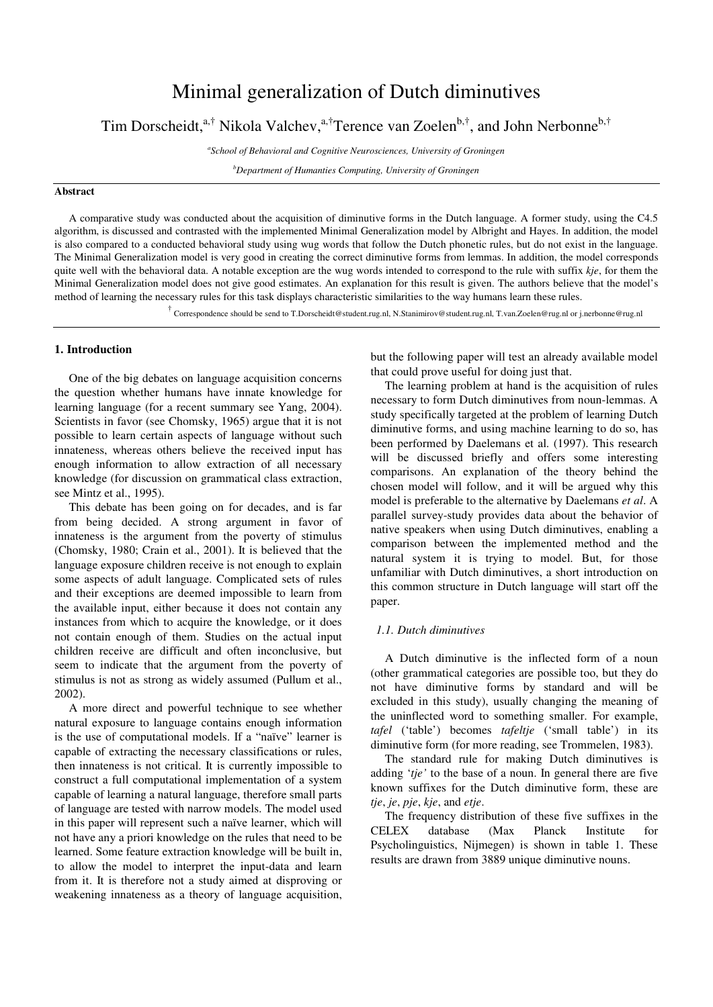# Minimal generalization of Dutch diminutives

Tim Dorscheidt,<sup>a,†</sup> Nikola Valchev,<sup>a,†</sup>Terence van Zoelen<sup>b,†</sup>, and John Nerbonne<sup>b,†</sup>

*a School of Behavioral and Cognitive Neurosciences, University of Groningen*

*<sup>b</sup>Department of Humanties Computing, University of Groningen*

#### **Abstract**

A comparative study was conducted about the acquisition of diminutive forms in the Dutch language. A former study, using the C4.5 algorithm, is discussed and contrasted with the implemented Minimal Generalization model by Albright and Hayes. In addition, the model is also compared to a conducted behavioral study using wug words that follow the Dutch phonetic rules, but do not exist in the language. The Minimal Generalization model is very good in creating the correct diminutive forms from lemmas. In addition, the model corresponds quite well with the behavioral data. A notable exception are the wug words intended to correspond to the rule with suffix *kje*, for them the Minimal Generalization model does not give good estimates. An explanation for this result is given. The authors believe that the model's method of learning the necessary rules for this task displays characteristic similarities to the way humans learn these rules.

<sup>†</sup> Correspondence should be send to T.Dorscheidt@student.rug.nl, N.Stanimirov@student.rug.nl, T.van.Zoelen@rug.nl or j.nerbonne@rug.nl

### **1. Introduction**

One of the big debates on language acquisition concerns the question whether humans have innate knowledge for learning language (for a recent summary see Yang, 2004). Scientists in favor (see Chomsky, 1965) argue that it is not possible to learn certain aspects of language without such innateness, whereas others believe the received input has enough information to allow extraction of all necessary knowledge (for discussion on grammatical class extraction, see Mintz et al., 1995).

This debate has been going on for decades, and is far from being decided. A strong argument in favor of innateness is the argument from the poverty of stimulus (Chomsky, 1980; Crain et al., 2001). It is believed that the language exposure children receive is not enough to explain some aspects of adult language. Complicated sets of rules and their exceptions are deemed impossible to learn from the available input, either because it does not contain any instances from which to acquire the knowledge, or it does not contain enough of them. Studies on the actual input children receive are difficult and often inconclusive, but seem to indicate that the argument from the poverty of stimulus is not as strong as widely assumed (Pullum et al., 2002).

A more direct and powerful technique to see whether natural exposure to language contains enough information is the use of computational models. If a "naïve" learner is capable of extracting the necessary classifications or rules, then innateness is not critical. It is currently impossible to construct a full computational implementation of a system capable of learning a natural language, therefore small parts of language are tested with narrow models. The model used in this paper will represent such a naïve learner, which will not have any a priori knowledge on the rules that need to be learned. Some feature extraction knowledge will be built in, to allow the model to interpret the input-data and learn from it. It is therefore not a study aimed at disproving or weakening innateness as a theory of language acquisition,

but the following paper will test an already available model that could prove useful for doing just that.

The learning problem at hand is the acquisition of rules necessary to form Dutch diminutives from noun-lemmas. A study specifically targeted at the problem of learning Dutch diminutive forms, and using machine learning to do so, has been performed by Daelemans et al. (1997). This research will be discussed briefly and offers some interesting comparisons. An explanation of the theory behind the chosen model will follow, and it will be argued why this model is preferable to the alternative by Daelemans *et al*. A parallel survey-study provides data about the behavior of native speakers when using Dutch diminutives, enabling a comparison between the implemented method and the natural system it is trying to model. But, for those unfamiliar with Dutch diminutives, a short introduction on this common structure in Dutch language will start off the paper.

#### *1.1. Dutch diminutives*

A Dutch diminutive is the inflected form of a noun (other grammatical categories are possible too, but they do not have diminutive forms by standard and will be excluded in this study), usually changing the meaning of the uninflected word to something smaller. For example, *tafel* ('table') becomes *tafeltje* ('small table') in its diminutive form (for more reading, see Trommelen, 1983).

The standard rule for making Dutch diminutives is adding '*tje'* to the base of a noun. In general there are five known suffixes for the Dutch diminutive form, these are *tje*, *je*, *pje*, *kje*, and *etje*.

The frequency distribution of these five suffixes in the CELEX database (Max Planck Institute for Psycholinguistics, Nijmegen) is shown in table 1. These results are drawn from 3889 unique diminutive nouns.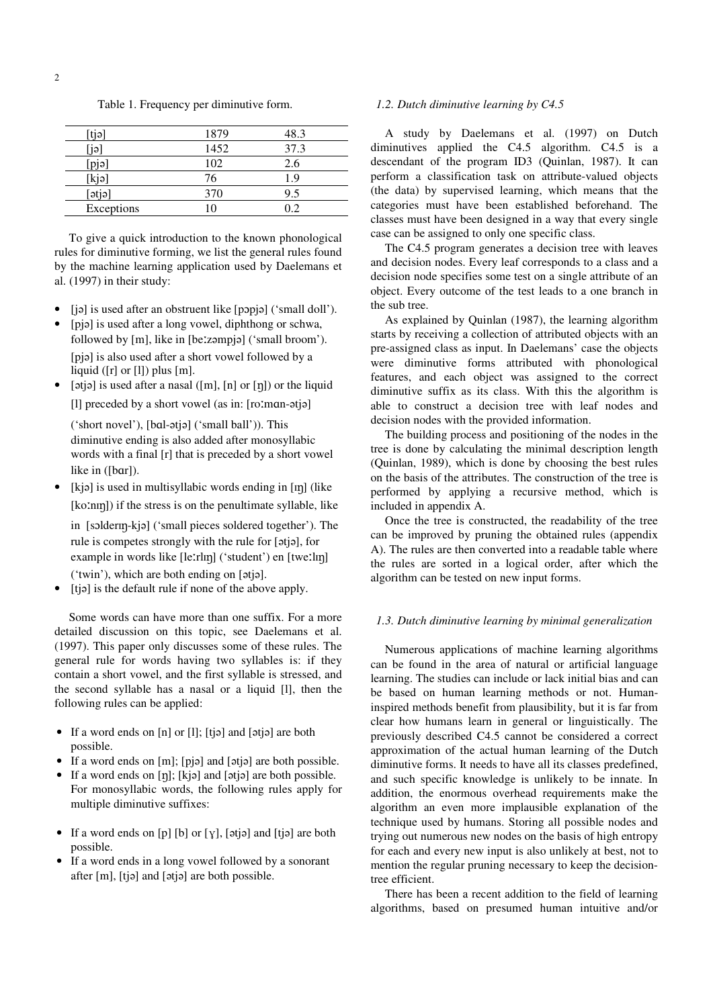| <b>tjə</b>   | 1879 | 48.3 |
|--------------|------|------|
| $\mathsf{a}$ | 1452 | 37.3 |
| pi           | 102  | 2.6  |
| [kjə]        | 76   | 1.9  |
| [ətjə]       | 370  | 9.5  |
| Exceptions   | 10   | በ 2  |

Table 1. Frequency per diminutive form.

To give a quick introduction to the known phonological rules for diminutive forming, we list the general rules found by the machine learning application used by Daelemans et al. (1997) in their study:

- [ja] is used after an obstruent like [pppja] ('small doll').
- [pjə] is used after a long vowel, diphthong or schwa, followed by  $[m]$ , like in  $[be'zampja]$  ('small broom'). [pjə] is also used after a short vowel followed by a liquid ( $[r]$  or  $[l]$ ) plus  $[m]$ .
- [ətjə] is used after a nasal  $([m], [n]$  or  $[p])$  or the liquid [1] preceded by a short vowel (as in: [roːman-ətjə]

('short novel'), [bal-atja] ('small ball')). This diminutive ending is also added after monosyllabic words with a final [r] that is preceded by a short vowel like in ([bar]).

• [kja] is used in multisyllabic words ending in [IJ] (like [koːnɪŋ]) if the stress is on the penultimate syllable, like

in [solderm-kja] ('small pieces soldered together'). The rule is competes strongly with the rule for [ətjə], for example in words like [leːrlɪŋ] ('student') en [tweːlɪŋ]  $('twin'), which are both ending on [atja].$ 

[tjə] is the default rule if none of the above apply.

Some words can have more than one suffix. For a more detailed discussion on this topic, see Daelemans et al. (1997). This paper only discusses some of these rules. The general rule for words having two syllables is: if they contain a short vowel, and the first syllable is stressed, and the second syllable has a nasal or a liquid [l], then the following rules can be applied:

- If a word ends on  $[n]$  or  $[i]$ ;  $[t]$  and  $[3t]$  are both possible.
- If a word ends on  $[m]$ ;  $[pj\partial]$  and  $[\dot{\sigma}j\partial]$  are both possible.
- If a word ends on  $[\eta]$ ;  $[k]$  and  $[\alpha\text{ }]$  are both possible. For monosyllabic words, the following rules apply for multiple diminutive suffixes:
- If a word ends on [p] [b] or  $[y]$ , [ətjə] and [tjə] are both possible.
- If a word ends in a long vowel followed by a sonorant after  $[m]$ ,  $[tj\partial]$  and  $[\dot{\sigma}tj\partial]$  are both possible.

### *1.2. Dutch diminutive learning by C4.5*

A study by Daelemans et al. (1997) on Dutch diminutives applied the C4.5 algorithm. C4.5 is a descendant of the program ID3 (Quinlan, 1987). It can perform a classification task on attribute-valued objects (the data) by supervised learning, which means that the categories must have been established beforehand. The classes must have been designed in a way that every single case can be assigned to only one specific class.

The C4.5 program generates a decision tree with leaves and decision nodes. Every leaf corresponds to a class and a decision node specifies some test on a single attribute of an object. Every outcome of the test leads to a one branch in the sub tree.

As explained by Quinlan (1987), the learning algorithm starts by receiving a collection of attributed objects with an pre-assigned class as input. In Daelemans' case the objects were diminutive forms attributed with phonological features, and each object was assigned to the correct diminutive suffix as its class. With this the algorithm is able to construct a decision tree with leaf nodes and decision nodes with the provided information.

The building process and positioning of the nodes in the tree is done by calculating the minimal description length (Quinlan, 1989), which is done by choosing the best rules on the basis of the attributes. The construction of the tree is performed by applying a recursive method, which is included in appendix A.

Once the tree is constructed, the readability of the tree can be improved by pruning the obtained rules (appendix A). The rules are then converted into a readable table where the rules are sorted in a logical order, after which the algorithm can be tested on new input forms.

# *1.3. Dutch diminutive learning by minimal generalization*

Numerous applications of machine learning algorithms can be found in the area of natural or artificial language learning. The studies can include or lack initial bias and can be based on human learning methods or not. Humaninspired methods benefit from plausibility, but it is far from clear how humans learn in general or linguistically. The previously described C4.5 cannot be considered a correct approximation of the actual human learning of the Dutch diminutive forms. It needs to have all its classes predefined, and such specific knowledge is unlikely to be innate. In addition, the enormous overhead requirements make the algorithm an even more implausible explanation of the technique used by humans. Storing all possible nodes and trying out numerous new nodes on the basis of high entropy for each and every new input is also unlikely at best, not to mention the regular pruning necessary to keep the decisiontree efficient.

There has been a recent addition to the field of learning algorithms, based on presumed human intuitive and/or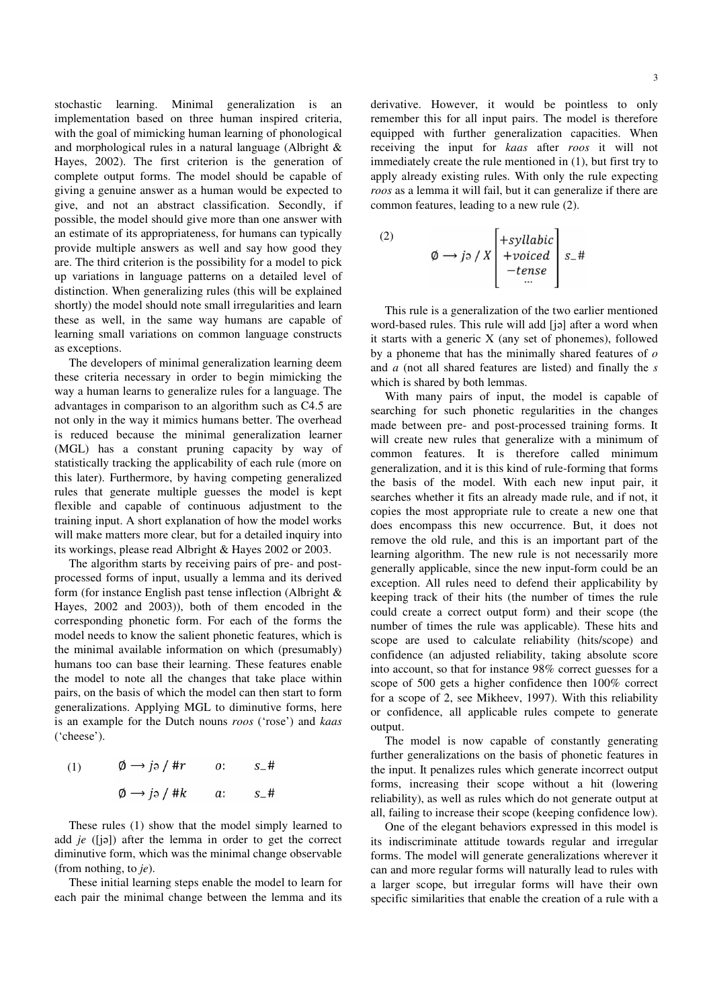stochastic learning. Minimal generalization is an implementation based on three human inspired criteria, with the goal of mimicking human learning of phonological and morphological rules in a natural language (Albright & Hayes, 2002). The first criterion is the generation of complete output forms. The model should be capable of giving a genuine answer as a human would be expected to give, and not an abstract classification. Secondly, if possible, the model should give more than one answer with an estimate of its appropriateness, for humans can typically provide multiple answers as well and say how good they are. The third criterion is the possibility for a model to pick up variations in language patterns on a detailed level of distinction. When generalizing rules (this will be explained shortly) the model should note small irregularities and learn these as well, in the same way humans are capable of learning small variations on common language constructs as exceptions.

The developers of minimal generalization learning deem these criteria necessary in order to begin mimicking the way a human learns to generalize rules for a language. The advantages in comparison to an algorithm such as C4.5 are not only in the way it mimics humans better. The overhead is reduced because the minimal generalization learner (MGL) has a constant pruning capacity by way of statistically tracking the applicability of each rule (more on this later). Furthermore, by having competing generalized rules that generate multiple guesses the model is kept flexible and capable of continuous adjustment to the training input. A short explanation of how the model works will make matters more clear, but for a detailed inquiry into its workings, please read Albright & Hayes 2002 or 2003.

The algorithm starts by receiving pairs of pre- and postprocessed forms of input, usually a lemma and its derived form (for instance English past tense inflection (Albright & Hayes, 2002 and 2003)), both of them encoded in the corresponding phonetic form. For each of the forms the model needs to know the salient phonetic features, which is the minimal available information on which (presumably) humans too can base their learning. These features enable the model to note all the changes that take place within pairs, on the basis of which the model can then start to form generalizations. Applying MGL to diminutive forms, here is an example for the Dutch nouns *roos* ('rose') and *kaas* ('cheese').

(1) 
$$
\emptyset \rightarrow j \rightarrow / \# r
$$
 o:  $s_{-} \#$   
 $\emptyset \rightarrow j \rightarrow / \# k$  a:  $s_{-} \#$ 

These rules (1) show that the model simply learned to add *je* ([ja]) after the lemma in order to get the correct diminutive form, which was the minimal change observable (from nothing, to *je*).

These initial learning steps enable the model to learn for each pair the minimal change between the lemma and its derivative. However, it would be pointless to only remember this for all input pairs. The model is therefore equipped with further generalization capacities. When

receiving the input for *kaas* after *roos* it will not immediately create the rule mentioned in (1), but first try to apply already existing rules. With only the rule expecting *roos* as a lemma it will fail, but it can generalize if there are common features, leading to a new rule (2).

$$
\begin{array}{c}\n(2) \\
\varphi \rightarrow j \Rightarrow / X \left[ \begin{array}{c}\n+syllabic \\
+voiced \\
-tense\n\end{array} \right] \, s_-\# \\
\end{array}
$$

This rule is a generalization of the two earlier mentioned word-based rules. This rule will add [ja] after a word when it starts with a generic X (any set of phonemes), followed by a phoneme that has the minimally shared features of *o* and *a* (not all shared features are listed) and finally the *s* which is shared by both lemmas.

With many pairs of input, the model is capable of searching for such phonetic regularities in the changes made between pre- and post-processed training forms. It will create new rules that generalize with a minimum of common features. It is therefore called minimum generalization, and it is this kind of rule-forming that forms the basis of the model. With each new input pair, it searches whether it fits an already made rule, and if not, it copies the most appropriate rule to create a new one that does encompass this new occurrence. But, it does not remove the old rule, and this is an important part of the learning algorithm. The new rule is not necessarily more generally applicable, since the new input-form could be an exception. All rules need to defend their applicability by keeping track of their hits (the number of times the rule could create a correct output form) and their scope (the number of times the rule was applicable). These hits and scope are used to calculate reliability (hits/scope) and confidence (an adjusted reliability, taking absolute score into account, so that for instance 98% correct guesses for a scope of 500 gets a higher confidence then 100% correct for a scope of 2, see Mikheev, 1997). With this reliability or confidence, all applicable rules compete to generate output.

The model is now capable of constantly generating further generalizations on the basis of phonetic features in the input. It penalizes rules which generate incorrect output forms, increasing their scope without a hit (lowering reliability), as well as rules which do not generate output at all, failing to increase their scope (keeping confidence low).

One of the elegant behaviors expressed in this model is its indiscriminate attitude towards regular and irregular forms. The model will generate generalizations wherever it can and more regular forms will naturally lead to rules with a larger scope, but irregular forms will have their own specific similarities that enable the creation of a rule with a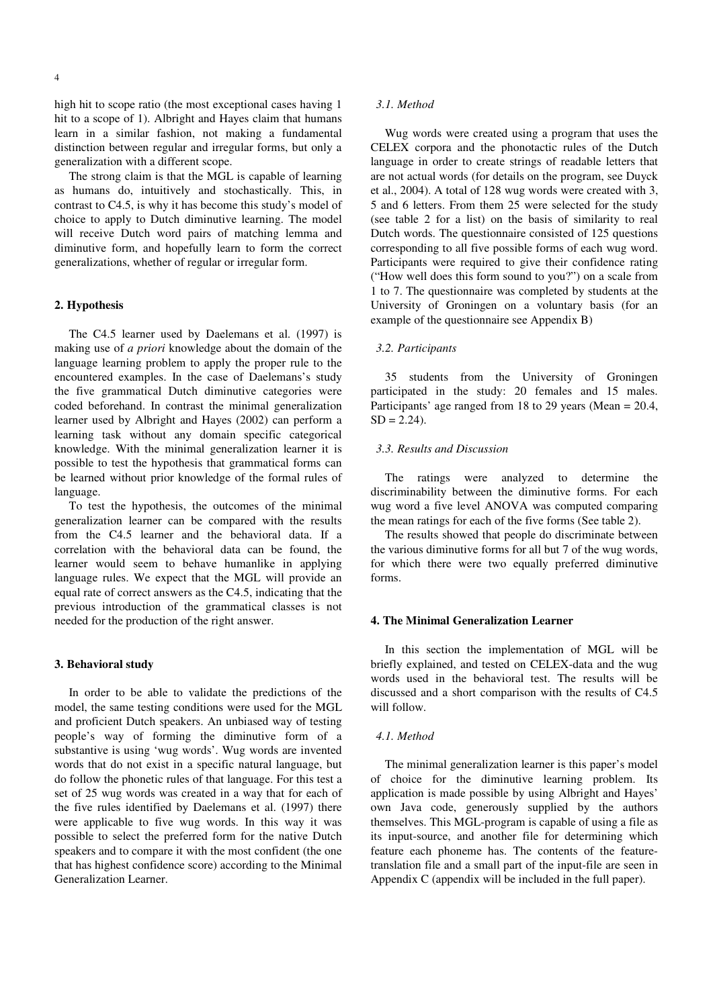high hit to scope ratio (the most exceptional cases having 1 hit to a scope of 1). Albright and Hayes claim that humans learn in a similar fashion, not making a fundamental distinction between regular and irregular forms, but only a generalization with a different scope.

The strong claim is that the MGL is capable of learning as humans do, intuitively and stochastically. This, in contrast to C4.5, is why it has become this study's model of choice to apply to Dutch diminutive learning. The model will receive Dutch word pairs of matching lemma and diminutive form, and hopefully learn to form the correct generalizations, whether of regular or irregular form.

#### **2. Hypothesis**

The C4.5 learner used by Daelemans et al. (1997) is making use of *a priori* knowledge about the domain of the language learning problem to apply the proper rule to the encountered examples. In the case of Daelemans's study the five grammatical Dutch diminutive categories were coded beforehand. In contrast the minimal generalization learner used by Albright and Hayes (2002) can perform a learning task without any domain specific categorical knowledge. With the minimal generalization learner it is possible to test the hypothesis that grammatical forms can be learned without prior knowledge of the formal rules of language.

To test the hypothesis, the outcomes of the minimal generalization learner can be compared with the results from the C4.5 learner and the behavioral data. If a correlation with the behavioral data can be found, the learner would seem to behave humanlike in applying language rules. We expect that the MGL will provide an equal rate of correct answers as the C4.5, indicating that the previous introduction of the grammatical classes is not needed for the production of the right answer.

#### **3. Behavioral study**

In order to be able to validate the predictions of the model, the same testing conditions were used for the MGL and proficient Dutch speakers. An unbiased way of testing people's way of forming the diminutive form of a substantive is using 'wug words'. Wug words are invented words that do not exist in a specific natural language, but do follow the phonetic rules of that language. For this test a set of 25 wug words was created in a way that for each of the five rules identified by Daelemans et al. (1997) there were applicable to five wug words. In this way it was possible to select the preferred form for the native Dutch speakers and to compare it with the most confident (the one that has highest confidence score) according to the Minimal Generalization Learner.

#### *3.1. Method*

Wug words were created using a program that uses the CELEX corpora and the phonotactic rules of the Dutch language in order to create strings of readable letters that are not actual words (for details on the program, see Duyck et al., 2004). A total of 128 wug words were created with 3, 5 and 6 letters. From them 25 were selected for the study (see table 2 for a list) on the basis of similarity to real Dutch words. The questionnaire consisted of 125 questions corresponding to all five possible forms of each wug word. Participants were required to give their confidence rating ("How well does this form sound to you?") on a scale from 1 to 7. The questionnaire was completed by students at the University of Groningen on a voluntary basis (for an example of the questionnaire see Appendix B)

#### *3.2. Participants*

35 students from the University of Groningen participated in the study: 20 females and 15 males. Participants' age ranged from 18 to 29 years (Mean = 20.4,  $SD = 2.24$ ).

#### *3.3. Results and Discussion*

The ratings were analyzed to determine the discriminability between the diminutive forms. For each wug word a five level ANOVA was computed comparing the mean ratings for each of the five forms (See table 2).

The results showed that people do discriminate between the various diminutive forms for all but 7 of the wug words, for which there were two equally preferred diminutive forms.

# **4. The Minimal Generalization Learner**

In this section the implementation of MGL will be briefly explained, and tested on CELEX-data and the wug words used in the behavioral test. The results will be discussed and a short comparison with the results of C4.5 will follow.

#### *4.1. Method*

The minimal generalization learner is this paper's model of choice for the diminutive learning problem. Its application is made possible by using Albright and Hayes' own Java code, generously supplied by the authors themselves. This MGL-program is capable of using a file as its input-source, and another file for determining which feature each phoneme has. The contents of the featuretranslation file and a small part of the input-file are seen in Appendix C (appendix will be included in the full paper).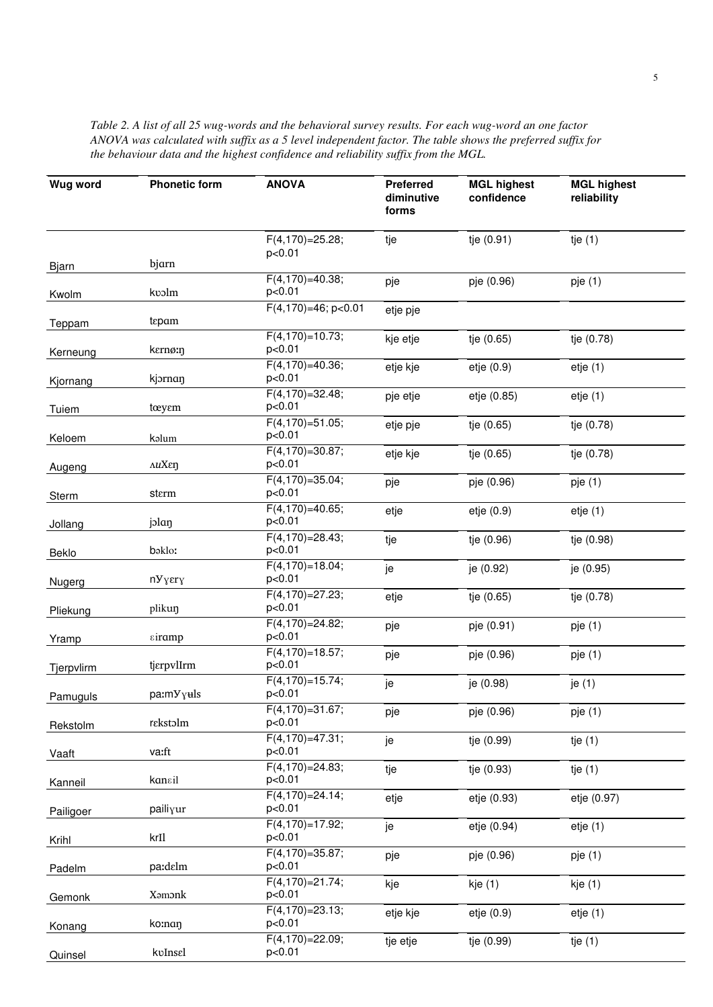| Wug word   | <b>Phonetic form</b> | <b>ANOVA</b>                              | <b>Preferred</b><br>diminutive<br>forms | <b>MGL highest</b><br>confidence | <b>MGL highest</b><br>reliability |
|------------|----------------------|-------------------------------------------|-----------------------------------------|----------------------------------|-----------------------------------|
|            |                      | $F(4, 170) = 25.28$ ;<br>p<0.01           | tje                                     | tje (0.91)                       | tje $(1)$                         |
| Bjarn      | bjarn                |                                           |                                         |                                  |                                   |
| Kwolm      | kvolm                | $F(4, 170) = 40.38;$<br>p<0.01            | pje                                     | pje (0.96)                       | pje(1)                            |
| Teppam     | tepam                | $\sqrt{F(4,170)} = 46$ ; p<0.01           | etje pje                                |                                  |                                   |
| Kerneung   | kernø:ŋ              | $F(4, 170) = 10.73;$<br>p<0.01            | kje etje                                | tje (0.65)                       | tje (0.78)                        |
| Kjornang   | kjornan              | $F(4, 170) = 40.36;$<br>p<0.01            | etje kje                                | etje (0.9)                       | $e$ tje $(1)$                     |
| Tuiem      | tœyɛm                | $F(4, 170) = 32.48;$<br>p<0.01            | pje etje                                | etje (0.85)                      | etje(1)                           |
| Keloem     | kalum                | $\overline{F(4,170)=51.05}$ ;<br>p<0.01   | etje pje                                | tje (0.65)                       | tje (0.78)                        |
| Augeng     | <b>AUXED</b>         | $\overline{F(4,170)} = 30.87;$<br>p<0.01  | etje kje                                | tje (0.65)                       | tje (0.78)                        |
| Sterm      | sterm                | $\sqrt{F(4,170)} = 35.04$ ;<br>p<0.01     | pje                                     | pje (0.96)                       | pje(1)                            |
| Jollang    | jolan                | $\sqrt{F(4,170)} = 40.65$ ;<br>p<0.01     | etje                                    | etje (0.9)                       | etje(1)                           |
| Beklo      | bəklo:               | $\overline{F(4,170)} = 28.43$ ;<br>p<0.01 | tje                                     | tje (0.96)                       | tje (0.98)                        |
| Nugerg     | nYY                  | $\sqrt{F(4,170)} = 18.04;$<br>p<0.01      | je                                      | je (0.92)                        | je (0.95)                         |
| Pliekung   | plikuŋ               | $F(4, 170) = 27.23$ ;<br>p<0.01           | etje                                    | tje (0.65)                       | tje (0.78)                        |
| Yramp      | $s$ iramp            | $F(4, 170) = 24.82;$<br>p<0.01            | pje                                     | pje (0.91)                       | pje(1)                            |
| Tjerpvlirm | tjerpvlIrm           | $\overline{F(4,170)} = 18.57;$<br>p<0.01  | pje                                     | pje (0.96)                       | pje(1)                            |
| Pamuguls   | pa:mYyuls            | $F(4, 170) = 15.74;$<br>p<0.01            | je                                      | je (0.98)                        | je (1)                            |
| Rekstolm   | rekstolm             | $F(4, 170)=31.67;$<br>p<0.01              | pje                                     | pje (0.96)                       | pje (1)                           |
| Vaaft      | va:ft                | $F(4, 170)=47.31;$<br>p<0.01              | je                                      | tje (0.99)                       | tje $(1)$                         |
| Kanneil    | kansil               | $F(4,170)=24.83;$<br>p<0.01               | tje                                     | tje (0.93)                       | tje $(1)$                         |
| Pailigoer  | pailiyur             | $\sqrt{F(4,170)} = 24.14;$<br>p<0.01      | etje                                    | etje (0.93)                      | etje (0.97)                       |
| Krihl      | krIl                 | $\sqrt{F(4,170)} = 17.92$ ;<br>p<0.01     | je                                      | etje (0.94)                      | etje(1)                           |
| Padelm     | pa:dɛlm              | $\overline{F(4,170)} = 35.87;$<br>p<0.01  | pje                                     | pje (0.96)                       | pje (1)                           |
| Gemonk     | Xamonk               | $F(4,170)=21.74;$<br>p<0.01               | kje                                     | kje (1)                          | kje (1)                           |
| Konang     | ko:naŋ               | $\sqrt{F(4,170)} = 23.13$ ;<br>p<0.01     | etje kje                                | etje (0.9)                       | $e$ tje $(1)$                     |
| Quinsel    | kvInsel              | $\sqrt{F(4,170)} = 22.09$ ;<br>p<0.01     | tje etje                                | tje (0.99)                       | tje $(1)$                         |

Table 2. A list of all 25 wug-words and the behavioral survey results. For each wug-word an one factor ANOVA was calculated with suffix as a 5 level independent factor. The table shows the preferred suffix for *the behaviour data and the highest confidence and reliability suffix from the MGL.*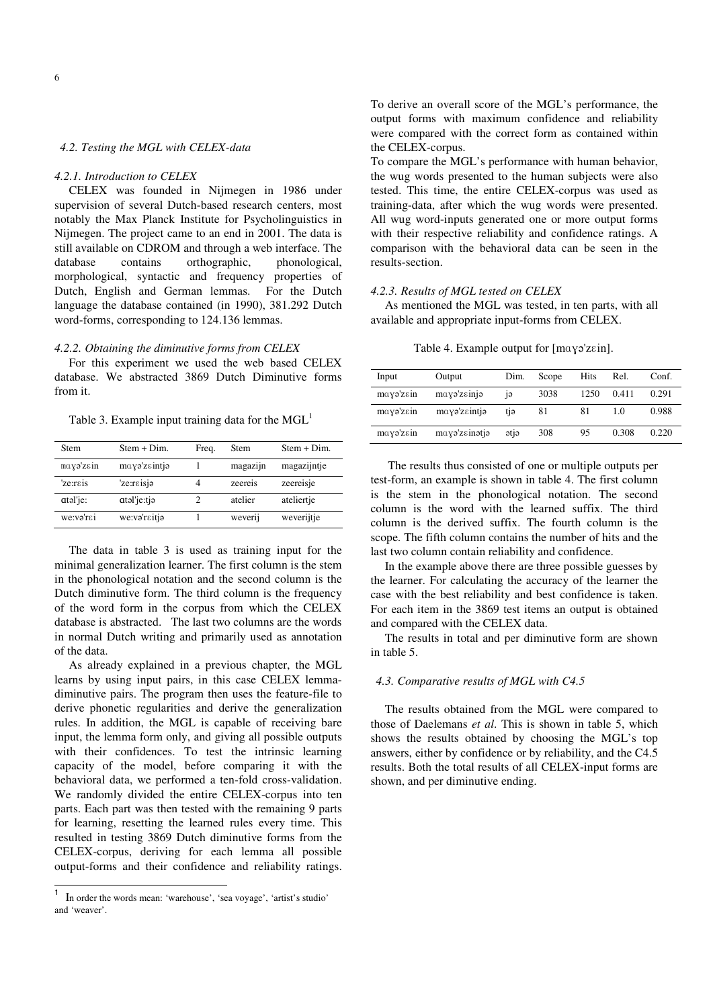# *4.2. Testing the MGL with CELEX-data*

# *4.2.1. Introduction to CELEX*

CELEX was founded in Nijmegen in 1986 under supervision of several Dutch-based research centers, most notably the Max Planck Institute for Psycholinguistics in Nijmegen. The project came to an end in 2001. The data is still available on CDROM and through a web interface. The database contains orthographic, phonological, morphological, syntactic and frequency properties of Dutch, English and German lemmas. For the Dutch language the database contained (in 1990), 381.292 Dutch word-forms, corresponding to 124.136 lemmas.

# *4.2.2. Obtaining the diminutive forms from CELEX*

For this experiment we used the web based CELEX database. We abstracted 3869 Dutch Diminutive forms from it.

Table 3. Example input training data for the  $MGL<sup>1</sup>$ 

| Stem      | $Stem + Dim.$ | Freq. | Stem     | $Stem + Dim.$ |
|-----------|---------------|-------|----------|---------------|
| mayə'zεin | maya'zεintja  |       | magazijn | magazijntje   |
| 'ze:rais  | ze:raisja     |       | zeereis  | zeereisje     |
| atal'je:  | atal'je:tja   |       | atelier  | ateliertje    |
| we:va'rai | we:va'raitja  |       | weverij  | weverijtje    |

The data in table 3 is used as training input for the minimal generalization learner. The first column is the stem in the phonological notation and the second column is the Dutch diminutive form. The third column is the frequency of the word form in the corpus from which the CELEX database is abstracted. The last two columns are the words in normal Dutch writing and primarily used as annotation of the data.

As already explained in a previous chapter, the MGL learns by using input pairs, in this case CELEX lemmadiminutive pairs. The program then uses the feature-file to derive phonetic regularities and derive the generalization rules. In addition, the MGL is capable of receiving bare input, the lemma form only, and giving all possible outputs with their confidences. To test the intrinsic learning capacity of the model, before comparing it with the behavioral data, we performed a ten-fold cross-validation. We randomly divided the entire CELEX-corpus into ten parts. Each part was then tested with the remaining 9 parts for learning, resetting the learned rules every time. This resulted in testing 3869 Dutch diminutive forms from the CELEX-corpus, deriving for each lemma all possible output-forms and their confidence and reliability ratings.

To derive an overall score of the MGL's performance, the output forms with maximum confidence and reliability were compared with the correct form as contained within the CELEX-corpus.

To compare the MGL's performance with human behavior, the wug words presented to the human subjects were also tested. This time, the entire CELEX-corpus was used as training-data, after which the wug words were presented. All wug word-inputs generated one or more output forms with their respective reliability and confidence ratings. A comparison with the behavioral data can be seen in the results-section.

# *4.2.3. Results of MGL tested on CELEX*

As mentioned the MGL was tested, in ten parts, with all available and appropriate input-forms from CELEX.

Table 4. Example output for [maya'zɛin].

| Input                           | Output        | Dim. | Scope | Hits | Rel.  | Conf. |
|---------------------------------|---------------|------|-------|------|-------|-------|
| $mayo'z\sin$                    | maya'zεinjə   | 19   | 3038  | 1250 | 0.411 | 0.291 |
| maya'zεin                       | maya'zεintja  | tiə  | 81    | 81   | 1.0   | 0.988 |
| $m\alpha y\sigma' z\epsilon in$ | maya'zεinətjə | ətjə | 308   | 95   | 0.308 | 0.220 |

The results thus consisted of one or multiple outputs per test-form, an example is shown in table 4. The first column is the stem in the phonological notation. The second column is the word with the learned suffix. The third column is the derived suffix. The fourth column is the scope. The fifth column contains the number of hits and the last two column contain reliability and confidence.

In the example above there are three possible guesses by the learner. For calculating the accuracy of the learner the case with the best reliability and best confidence is taken. For each item in the 3869 test items an output is obtained and compared with the CELEX data.

The results in total and per diminutive form are shown in table 5.

# *4.3. Comparative results of MGL with C4.5*

The results obtained from the MGL were compared to those of Daelemans *et al*. This is shown in table 5, which shows the results obtained by choosing the MGL's top answers, either by confidence or by reliability, and the C4.5 results. Both the total results of all CELEX-input forms are shown, and per diminutive ending.

<sup>1</sup> In order the words mean: 'warehouse', 'sea voyage', 'artist's studio' and 'weaver'.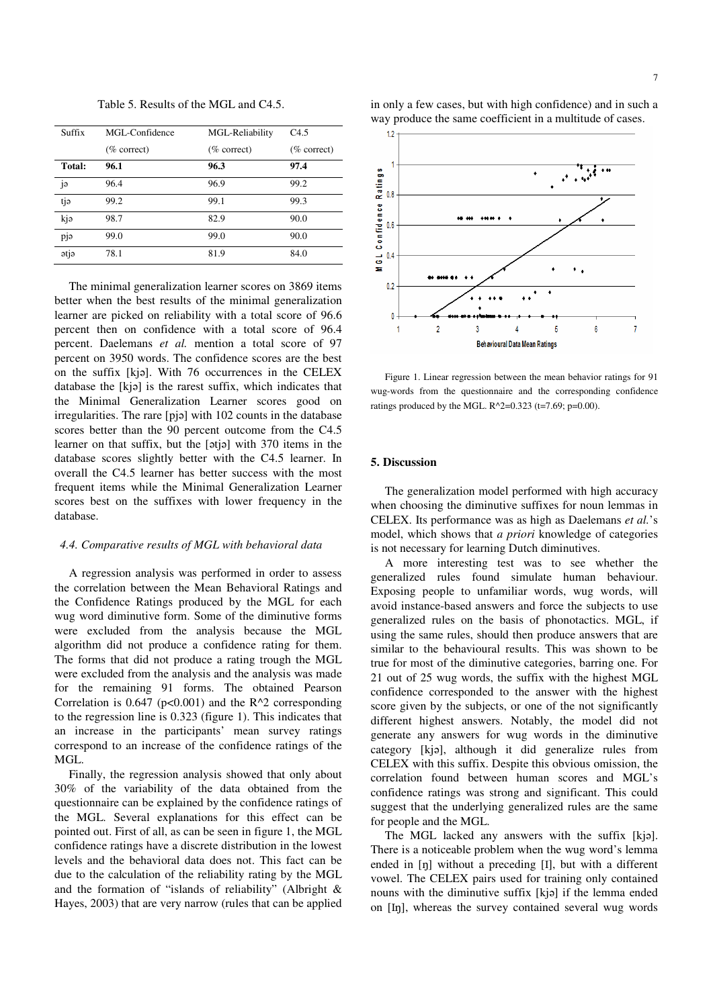Suffix MGL-Confidence (% correct) MGL-Reliability (% correct)  $C<sub>4</sub>5$ (% correct) **Total: 96.1 96.3 97.4** ja 96.4 96.9 99.2 tja 99.2 99.1 99.3  $kj$  98.7 82.9 90.0 pja 99.0 99.0 99.0 90.0 atja 78.1 81.9 84.0

Table 5. Results of the MGL and C4.5.

The minimal generalization learner scores on 3869 items better when the best results of the minimal generalization learner are picked on reliability with a total score of 96.6 percent then on confidence with a total score of 96.4 percent. Daelemans *et al.* mention a total score of 97 percent on 3950 words. The confidence scores are the best on the suffix  $[k]$ . With 76 occurrences in the CELEX database the [kja] is the rarest suffix, which indicates that the Minimal Generalization Learner scores good on irregularities. The rare [pjə] with 102 counts in the database scores better than the 90 percent outcome from the C4.5 learner on that suffix, but the [atja] with 370 items in the database scores slightly better with the C4.5 learner. In overall the C4.5 learner has better success with the most frequent items while the Minimal Generalization Learner scores best on the suffixes with lower frequency in the database.

#### *4.4. Comparative results of MGL with behavioral data*

A regression analysis was performed in order to assess the correlation between the Mean Behavioral Ratings and the Confidence Ratings produced by the MGL for each wug word diminutive form. Some of the diminutive forms were excluded from the analysis because the MGL algorithm did not produce a confidence rating for them. The forms that did not produce a rating trough the MGL were excluded from the analysis and the analysis was made for the remaining 91 forms. The obtained Pearson Correlation is  $0.647$  (p<0.001) and the R^2 corresponding to the regression line is 0.323 (figure 1). This indicates that an increase in the participants' mean survey ratings correspond to an increase of the confidence ratings of the MGL.

Finally, the regression analysis showed that only about 30% of the variability of the data obtained from the questionnaire can be explained by the confidence ratings of the MGL. Several explanations for this effect can be pointed out. First of all, as can be seen in figure 1, the MGL confidence ratings have a discrete distribution in the lowest levels and the behavioral data does not. This fact can be due to the calculation of the reliability rating by the MGL and the formation of "islands of reliability" (Albright & Hayes, 2003) that are very narrow (rules that can be applied



in only a few cases, but with high confidence) and in such a way produce the same coefficient in a multitude of cases.

Figure 1. Linear regression between the mean behavior ratings for 91 wug-words from the questionnaire and the corresponding confidence ratings produced by the MGL.  $R^2=0.323$  (t=7.69; p=0.00).

#### **5. Discussion**

The generalization model performed with high accuracy when choosing the diminutive suffixes for noun lemmas in CELEX. Its performance was as high as Daelemans *et al.*'s model, which shows that *a priori* knowledge of categories is not necessary for learning Dutch diminutives.

A more interesting test was to see whether the generalized rules found simulate human behaviour. Exposing people to unfamiliar words, wug words, will avoid instance-based answers and force the subjects to use generalized rules on the basis of phonotactics. MGL, if using the same rules, should then produce answers that are similar to the behavioural results. This was shown to be true for most of the diminutive categories, barring one. For 21 out of 25 wug words, the suffix with the highest MGL confidence corresponded to the answer with the highest score given by the subjects, or one of the not significantly different highest answers. Notably, the model did not generate any answers for wug words in the diminutive category [kja], although it did generalize rules from CELEX with this suffix. Despite this obvious omission, the correlation found between human scores and MGL's confidence ratings was strong and significant. This could suggest that the underlying generalized rules are the same for people and the MGL.

The MGL lacked any answers with the suffix [kja]. There is a noticeable problem when the wug word's lemma ended in  $[\eta]$  without a preceding  $[I]$ , but with a different vowel. The CELEX pairs used for training only contained nouns with the diminutive suffix [kja] if the lemma ended on [In], whereas the survey contained several wug words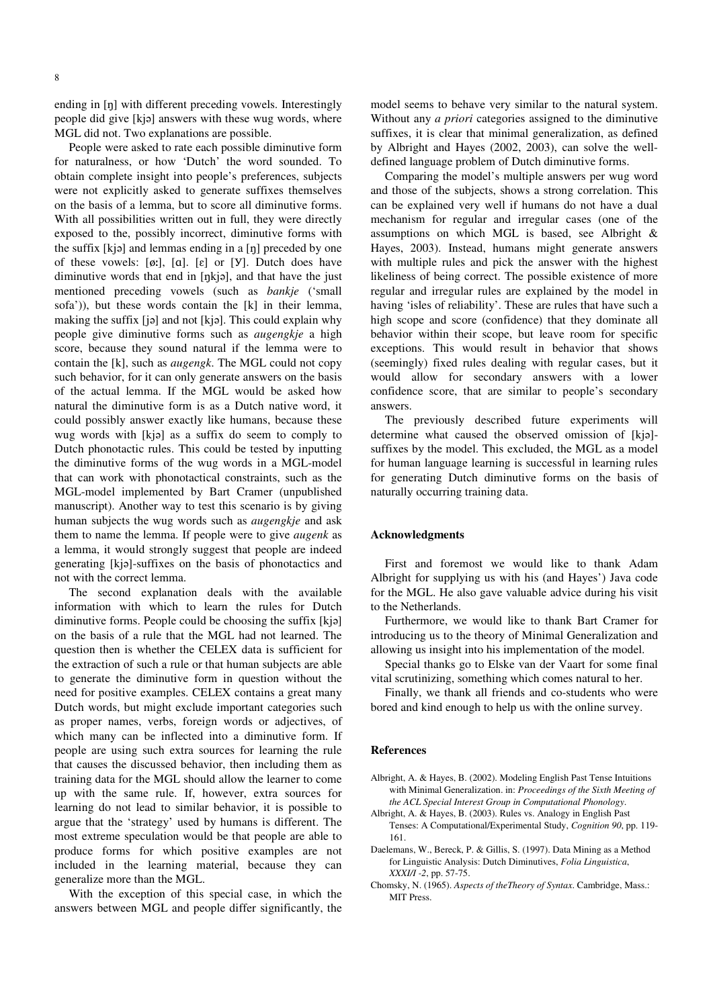ending in  $[\eta]$  with different preceding vowels. Interestingly people did give [kja] answers with these wug words, where MGL did not. Two explanations are possible.

People were asked to rate each possible diminutive form for naturalness, or how 'Dutch' the word sounded. To obtain complete insight into people's preferences, subjects were not explicitly asked to generate suffixes themselves on the basis of a lemma, but to score all diminutive forms. With all possibilities written out in full, they were directly exposed to the, possibly incorrect, diminutive forms with the suffix  $[k]$  and lemmas ending in a  $[n]$  preceded by one of these vowels:  $[\varnothing!]$ ,  $[\varnothing]$ .  $[\varepsilon]$  or  $[Y]$ . Dutch does have diminutive words that end in [nkja], and that have the just mentioned preceding vowels (such as *bankje* ('small sofa')), but these words contain the [k] in their lemma, making the suffix [jə] and not [kjə]. This could explain why people give diminutive forms such as *augengkje* a high score, because they sound natural if the lemma were to contain the [k], such as *augengk*. The MGL could not copy such behavior, for it can only generate answers on the basis of the actual lemma. If the MGL would be asked how natural the diminutive form is as a Dutch native word, it could possibly answer exactly like humans, because these wug words with [kja] as a suffix do seem to comply to Dutch phonotactic rules. This could be tested by inputting the diminutive forms of the wug words in a MGL-model that can work with phonotactical constraints, such as the MGL-model implemented by Bart Cramer (unpublished manuscript). Another way to test this scenario is by giving human subjects the wug words such as *augengkje* and ask them to name the lemma. If people were to give *augenk* as a lemma, it would strongly suggest that people are indeed generating [kja]-suffixes on the basis of phonotactics and not with the correct lemma.

The second explanation deals with the available information with which to learn the rules for Dutch diminutive forms. People could be choosing the suffix [kja] on the basis of a rule that the MGL had not learned. The question then is whether the CELEX data is sufficient for the extraction of such a rule or that human subjects are able to generate the diminutive form in question without the need for positive examples. CELEX contains a great many Dutch words, but might exclude important categories such as proper names, verbs, foreign words or adjectives, of which many can be inflected into a diminutive form. If people are using such extra sources for learning the rule that causes the discussed behavior, then including them as training data for the MGL should allow the learner to come up with the same rule. If, however, extra sources for learning do not lead to similar behavior, it is possible to argue that the 'strategy' used by humans is different. The most extreme speculation would be that people are able to produce forms for which positive examples are not included in the learning material, because they can generalize more than the MGL.

With the exception of this special case, in which the answers between MGL and people differ significantly, the

model seems to behave very similar to the natural system. Without any *a priori* categories assigned to the diminutive suffixes, it is clear that minimal generalization, as defined by Albright and Hayes (2002, 2003), can solve the welldefined language problem of Dutch diminutive forms.

Comparing the model's multiple answers per wug word and those of the subjects, shows a strong correlation. This can be explained very well if humans do not have a dual mechanism for regular and irregular cases (one of the assumptions on which MGL is based, see Albright & Hayes, 2003). Instead, humans might generate answers with multiple rules and pick the answer with the highest likeliness of being correct. The possible existence of more regular and irregular rules are explained by the model in having 'isles of reliability'. These are rules that have such a high scope and score (confidence) that they dominate all behavior within their scope, but leave room for specific exceptions. This would result in behavior that shows (seemingly) fixed rules dealing with regular cases, but it would allow for secondary answers with a lower confidence score, that are similar to people's secondary answers.

The previously described future experiments will determine what caused the observed omission of [kja]suffixes by the model. This excluded, the MGL as a model for human language learning is successful in learning rules for generating Dutch diminutive forms on the basis of naturally occurring training data.

#### **Acknowledgments**

First and foremost we would like to thank Adam Albright for supplying us with his (and Hayes') Java code for the MGL. He also gave valuable advice during his visit to the Netherlands.

Furthermore, we would like to thank Bart Cramer for introducing us to the theory of Minimal Generalization and allowing us insight into his implementation of the model.

Special thanks go to Elske van der Vaart for some final vital scrutinizing, something which comes natural to her.

Finally, we thank all friends and co-students who were bored and kind enough to help us with the online survey.

#### **References**

Albright, A. & Hayes, B. (2002). Modeling English Past Tense Intuitions with Minimal Generalization. in: *Proceedings of the Sixth Meeting of the ACL Special Interest Group in Computational Phonology*.

- Albright, A. & Hayes, B. (2003). Rules vs. Analogy in English Past Tenses: A Computational/Experimental Study, *Cognition 90*, pp. 119- 161.
- Daelemans, W., Bereck, P. & Gillis, S. (1997). Data Mining as a Method for Linguistic Analysis: Dutch Diminutives, *Folia Linguistica*, *XXXI/I -2*, pp. 57-75.
- Chomsky, N. (1965). *Aspects of theTheory of Syntax*. Cambridge, Mass.: MIT Press.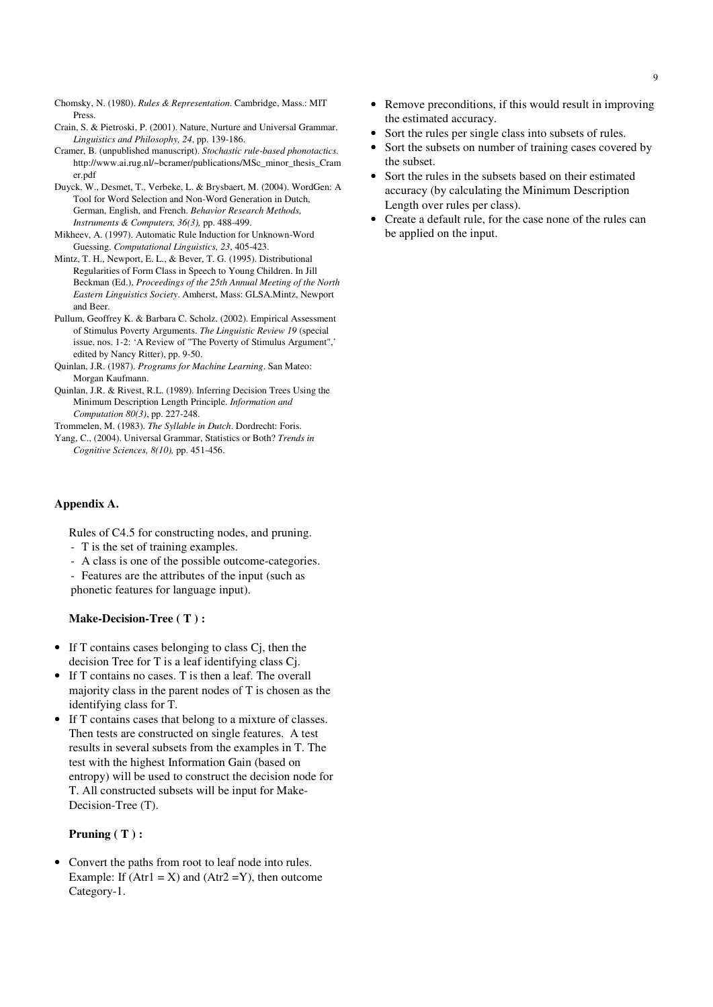- Chomsky, N. (1980). *Rules & Representation*. Cambridge, Mass.: MIT Press.
- Crain, S. & Pietroski, P. (2001). Nature, Nurture and Universal Grammar. *Linguistics and Philosophy, 24*, pp. 139-186.
- Cramer, B. (unpublished manuscript). *Stochastic rule-based phonotactics.* http://www.ai.rug.nl/~bcramer/publications/MSc\_minor\_thesis\_Cram er.pdf
- Duyck, W., Desmet, T., Verbeke, L. & Brysbaert, M. (2004). WordGen: A Tool for Word Selection and Non-Word Generation in Dutch, German, English, and French. *Behavior Research Methods, Instruments & Computers, 36(3),* pp. 488-499.
- Mikheev, A. (1997). Automatic Rule Induction for Unknown-Word Guessing. *Computational Linguistics, 23*, 405-423.
- Mintz, T. H., Newport, E. L., & Bever, T. G. (1995). Distributional Regularities of Form Class in Speech to Young Children. In Jill Beckman (Ed.), *Proceedings of the 25th Annual Meeting of the North Eastern Linguistics Society*. Amherst, Mass: GLSA.Mintz, Newport and Beer.
- Pullum, Geoffrey K. & Barbara C. Scholz. (2002). Empirical Assessment of Stimulus Poverty Arguments. *The Linguistic Review 19* (special issue, nos. 1-2: 'A Review of "The Poverty of Stimulus Argument",' edited by Nancy Ritter), pp. 9-50.
- Quinlan, J.R. (1987). *Programs for Machine Learning*. San Mateo: Morgan Kaufmann.
- Quinlan, J.R. & Rivest, R.L. (1989). Inferring Decision Trees Using the Minimum Description Length Principle. *Information and Computation 80(3)*, pp. 227-248.

Trommelen, M. (1983). *The Syllable in Dutch*. Dordrecht: Foris.

Yang, C., (2004). Universal Grammar, Statistics or Both? *Trends in Cognitive Sciences, 8(10),* pp. 451-456.

# **Appendix A.**

Rules of C4.5 for constructing nodes, and pruning.

- T is the set of training examples.
- A class is one of the possible outcome-categories.
- Features are the attributes of the input (such as
- phonetic features for language input).

# **Make-Decision-Tree ( T ) :**

- If T contains cases belonging to class C<sub>j</sub>, then the decision Tree for T is a leaf identifying class Cj.
- If T contains no cases. T is then a leaf. The overall majority class in the parent nodes of T is chosen as the identifying class for T.
- If T contains cases that belong to a mixture of classes. Then tests are constructed on single features. A test results in several subsets from the examples in T. The test with the highest Information Gain (based on entropy) will be used to construct the decision node for T. All constructed subsets will be input for Make-Decision-Tree (T).

# **Pruning ( T ) :**

• Convert the paths from root to leaf node into rules. Example: If  $(Atr1 = X)$  and  $(Atr2 = Y)$ , then outcome Category-1.

- Remove preconditions, if this would result in improving the estimated accuracy.
- Sort the rules per single class into subsets of rules.
- Sort the subsets on number of training cases covered by the subset.
- Sort the rules in the subsets based on their estimated accuracy (by calculating the Minimum Description Length over rules per class).
- Create a default rule, for the case none of the rules can be applied on the input.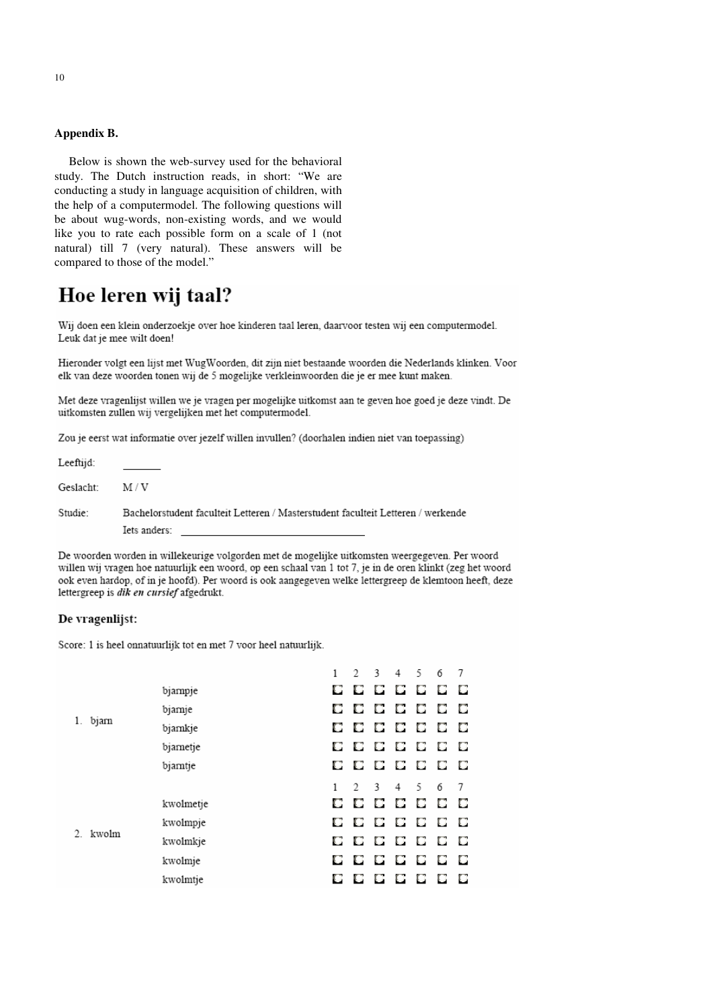#### **Appendix B.**

Below is shown the web-survey used for the behavioral study. The Dutch instruction reads, in short: "We are conducting a study in language acquisition of children, with the help of a computermodel. The following questions will be about wug-words, non-existing words, and we would like you to rate each possible form on a scale of 1 (not natural) till 7 (very natural). These answers will be compared to those of the model."

# Hoe leren wij taal?

Wij doen een klein onderzoekje over hoe kinderen taal leren, daarvoor testen wij een computermodel. Leuk dat je mee wilt doen!

Hieronder volgt een lijst met WugWoorden, dit zijn niet bestaande woorden die Nederlands klinken. Voor elk van deze woorden tonen wij de 5 mogelijke verkleinwoorden die je er mee kunt maken.

Met deze vragenlijst willen we je vragen per mogelijke uitkomst aan te geven hoe goed je deze vindt. De uitkomsten zullen wij vergelijken met het computermodel.

Zou je eerst wat informatie over jezelf willen invullen? (doorhalen indien niet van toepassing)

Leeftijd:  $M/V$ Geslacht: Studie: Bachelorstudent faculteit Letteren / Masterstudent faculteit Letteren / werkende Iets anders:

De woorden worden in willekeurige volgorden met de mogelijke uitkomsten weergegeven. Per woord willen wij vragen hoe natuurlijk een woord, op een schaal van 1 tot 7, je in de oren klinkt (zeg het woord ook even hardop, of in je hoofd). Per woord is ook aangegeven welke lettergreep de klemtoon heeft, deze lettergreep is dik en cursief afgedrukt.

#### De vragenlijst:

Score: 1 is heel onnatuurlijk tot en met 7 voor heel natuurlijk.

|          |           |    | $\mathcal{D}$  | $\overline{\mathbf{3}}$   | $\overline{4}$ | 5   | 6 | 7 |
|----------|-----------|----|----------------|---------------------------|----------------|-----|---|---|
| 1. bjarn | bjampje   |    | $\mathbf{C}$   |                           | .              |     |   | O |
|          | bjarnje   | D. |                |                           |                |     | . |   |
|          | bjarnkje  |    |                |                           |                |     | . |   |
|          | bjarnetje |    |                |                           | .              |     |   | O |
|          | bjarntje  |    |                |                           |                |     | . |   |
|          |           |    |                |                           |                |     |   |   |
|          |           |    | $\mathfrak{D}$ | 3                         | $\overline{4}$ | -5  | 6 | 7 |
|          | kwolmetje |    |                |                           |                |     | . |   |
|          | kwolmpje  |    |                |                           |                |     | . |   |
| 2. kwolm | kwolmkje  |    |                |                           | .              |     |   | O |
|          | kwolmje   | 0  | $\bullet$      | $\mathbf{C}$ $\mathbf{C}$ |                | - 0 | o | O |